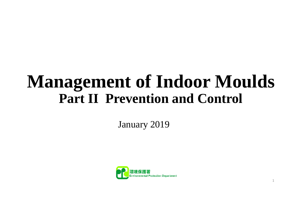# **Management of Indoor Moulds Part II Prevention and Control**

January 2019

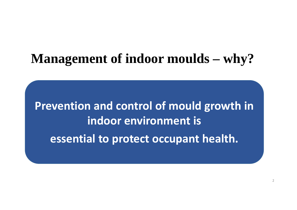#### **Management of indoor moulds – why?**

**Prevention and control of mould growth in indoor environment isessential to protect occupant health.**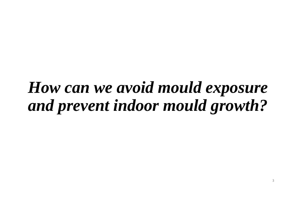# *How can we avoid mould exposure and prevent indoor mould growth?*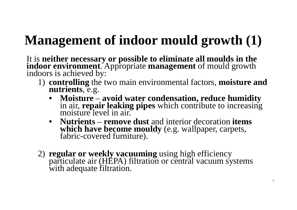## **Management of indoor mould growth (1)**

It is **neither necessary or possible to eliminate all moulds in the indoor environment**. Appropriate **management** of mould growth indoors is achieved by:

- 1) **controlling** the two main environmental factors, **moisture and nutrients**, e.g.
	- • **Moisture** –**avoid water condensation, reduce humidity** in air, **repair leaking pipes** which contribute to increasing moisture level in air.
	- • **Nutrients** – **remove dust** and interior decoration **items which have become mouldy** (e.g. wallpaper, carpets, fabric-covered furniture).
- 2) **regular or weekly vacuuming** using high efficiency particulate air (HEPA) filtration or central vacuum systems with adequate filtration.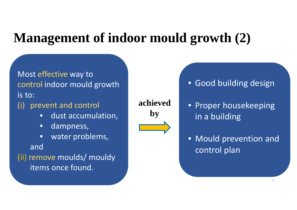#### **Management of indoor mould growth (2)**

Most effective way to control indoor mould growth is to:

(i) prevent and control

- $\bullet$ dust accumulation,
- •dampness,
- •water problems,

and

(ii) remove moulds/ mouldy items once found.

**achievedby**

• Good building design

- Proper housekeeping in a building
- Mould prevention and control plan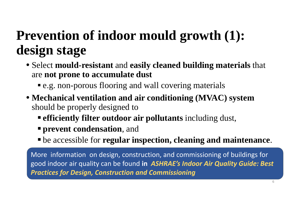### **Prevention of indoor mould growth (1): design stage**

- Select **mould-resistant** and **easily cleaned building materials** that are **not prone to accumulate dust**
	- **•** e.g. non-porous flooring and wall covering materials
- **Mechanical ventilation and air conditioning (MVAC) system**  should be properly designed to
	- **efficiently filter outdoor air pollutants** including dust,
	- **prevent condensation**, and
	- be accessible for **regular inspection, cleaning and maintenance**.

More information on design, construction, and commissioning of buildings for good indoor air quality can be found **in** *ASHRAE's Indoor Air Quality Guide: Best Practices for Design, Construction and Commissioning*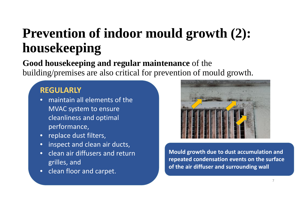### **Prevention of indoor mould growth (2): housekeeping**

#### **Good housekeeping and regular maintenance** of the building/premises are also critical for prevention of mould growth.

#### **REGULARLY**

- maintain all elements of the MVAC system to ensure cleanliness and optimal performance,
- replace dust filters,
- $\bullet$ inspect and clean air ducts,
- •• clean air diffusers and return grilles, and
- •• clean floor and carpet.



**Mould growth due to dust accumulation and repeated condensation events on the surface of the air diffuser and surrounding wall**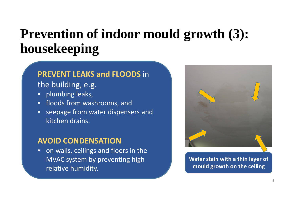#### **Prevention of indoor mould growth (3): housekeeping**

#### **PREVENT LEAKS and FLOODS** in

the building, e.g.

- plumbing leaks,
- floods from washrooms, and
- $\bullet$  seepage from water dispensers and kitchen drains.

#### **AVOID CONDENSATION**

• on walls, ceilings and floors in the MVAC system by preventing high relative humidity.



**Water stain with a thin layer of mould growth on the ceiling**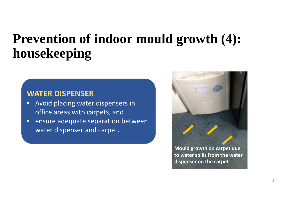#### **Prevention of indoor mould growth (4): housekeeping**

#### **WATER DISPENSER**

- $\bullet$ **•** Avoid placing water dispensers in office areas with carpets, and
- $\bullet$ • ensure adequate separation between water dispenser and carpet.

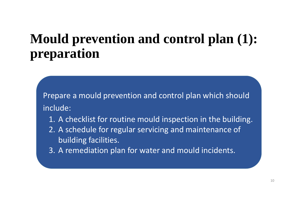### **Mould prevention and control plan (1): preparation**

Prepare a mould prevention and control plan which should include:

- 1. A checklist for routine mould inspection in the building.
- 2. A schedule for regular servicing and maintenance of building facilities.
- 3. A remediation plan for water and mould incidents.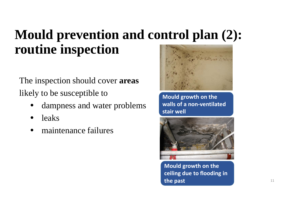### **Mould prevention and control plan (2): routine inspection**

The inspection should cover **areas**  likely to be susceptible to

- •dampness and water problems
- •leaks
- •maintenance failures



**Mould growth on the walls of a non‐ventilatedstair well**



**Mould growth on the ceiling due to flooding in the past** 11 and 12 and 12 and 12 and 12 and 12 and 12 and 12 and 12 and 12 and 12 and 12 and 12 and 12 and 12 and 12 and 12 and 12 and 12 and 12 and 12 and 12 and 12 and 12 and 12 and 12 and 12 and 12 and 12 and 12 and 1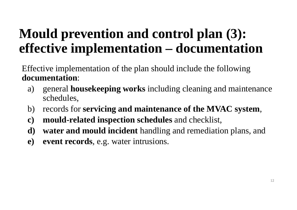#### **Mould prevention and control plan (3): effective implementation – documentation**

Effective implementation of the plan should include the following **documentation**:

- a) general **housekeeping works** including cleaning and maintenance schedules,
- b) records for **servicing and maintenance of the MVAC system**,
- **c) mould-related inspection schedules** and checklist,
- **d) water and mould incident** handling and remediation plans, and
- **e) event records**, e.g. water intrusions.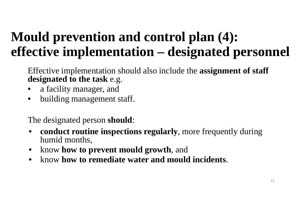### **Mould prevention and control plan (4): effective implementation – designated personnel**

Effective implementation should also include the **assignment of staff designated to the task** e.g.

- a facility manager, and
- •building management staff.

The designated person **should**:

- $\bullet$  **conduct routine inspections regularly**, more frequently during humid months,
- •know **how to prevent mould growth**, and
- $\bullet$ know **how to remediate water and mould incidents**.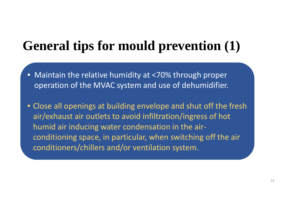#### **General tips for mould prevention (1)**

- Maintain the relative humidity at <70% through proper operation of the MVAC system and use of dehumidifier.
- Close all openings at building envelope and shut off the fresh air/exhaust air outlets to avoid infiltration/ingress of hot humid air inducing water condensation in the air ‐ conditioning space, in particular, when switching off the air conditioners/chillers and/or ventilation system.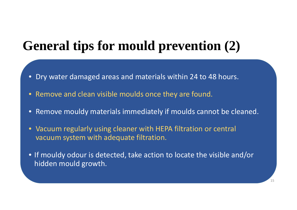#### **General tips for mould prevention (2)**

- Dry water damaged areas and materials within 24 to 48 hours.
- •Remove and clean visible moulds once they are found.
- $\bullet$ Remove mouldy materials immediately if moulds cannot be cleaned.
- Vacuum regularly using cleaner with HEPA filtration or central vacuum system with adequate filtration.
- If mouldy odour is detected, take action to locate the visible and/or hidden mould growth.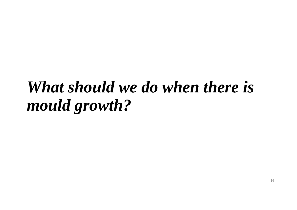# *What should we do when there is mould growth?*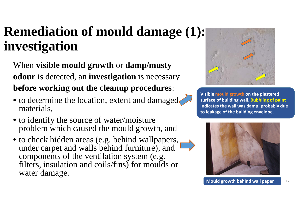### **Remediation of mould damage (1): investigation**

When **visible mould growth** or **damp/musty odour** is detected, an **investigation** is necessary **before working out the cleanup procedures**:

- to determine the location, extent and damaged materials,
- to identify the source of water/moisture problem which caused the mould growth, and
- to check hidden areas (e.g. behind wallpapers, under carpet and walls behind furniture), and components of the ventilation system (e.g. filters, insulation and coils/fins) for moulds or water damage.



**Visible mould growth on the plastered surface of building wall. Bubbling of paint indicates the wall was damp, probably due to leakage of the building envelope.** 

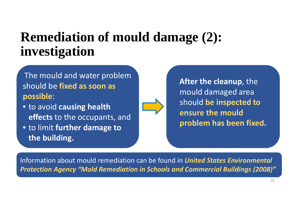#### **Remediation of mould damage (2): investigation**

The mould and water problem should be **fixed as soon as possible**:

- to avoid **causing health effects** to the occupants, and
- to limit **further damage to the building.**

**After the cleanup**, the mould damaged area should **be inspected to ensure the mould problem has been fixed.**

Information about mould remediation can be found in *United States Environmental Protection Agency "Mold Remediation in Schools and Commercial Buildings (2008)"*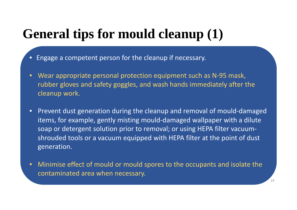#### **General tips for mould cleanup (1)**

- •Engage a competent person for the cleanup if necessary.
- •• Wear appropriate personal protection equipment such as N-95 mask, rubber gloves and safety goggles, and wash hands immediately after the cleanup work.
- •• Prevent dust generation during the cleanup and removal of mould-damaged items, for example, gently misting mould ‐damaged wallpaper with a dilute soap or detergent solution prior to removal; or using HEPA filter vacuum ‐ shrouded tools or a vacuum equipped with HEPA filter at the point of dust generation.
- • Minimise effect of mould or mould spores to the occupants and isolate the contaminated area when necessary.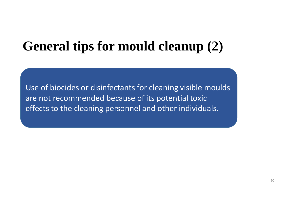#### **General tips for mould cleanup (2)**

Use of biocides or disinfectants for cleaning visible moulds are not recommended because of its potential toxic effects to the cleaning personnel and other individuals.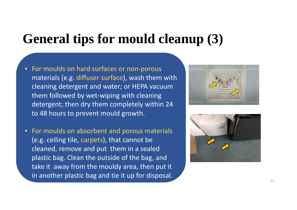#### **General tips for mould cleanup (3)**

- For moulds on hard surfaces or non ‐porous materials (e.g. diffuser surface), wash them with cleaning detergent and water; or HEPA vacuum them followed by wet ‐wiping with cleaning detergent; then dry them completely within 24 to 48 hours to prevent mould growth.
- $\bullet$  For moulds on absorbent and porous materials (e.g. ceiling tile, carpets), that cannot be cleaned, remove and put them in a sealed plastic bag. Clean the outside of the bag, and take it away from the mouldy area, then put it in another plastic bag and tie it up for disposal.



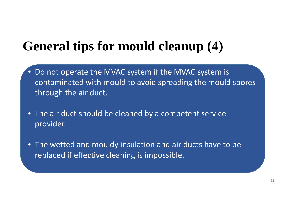#### **General tips for mould cleanup (4)**

- $\bullet$ • Do not operate the MVAC system if the MVAC system is contaminated with mould to avoid spreading the mould spores through the air duct.
- The air duct should be cleaned by a competent service provider.
- The wetted and mouldy insulation and air ducts have to be replaced if effective cleaning is impossible.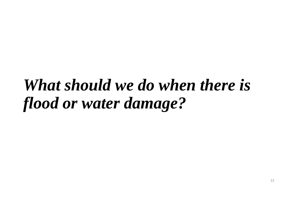# *What should we do when there is flood or water damage?*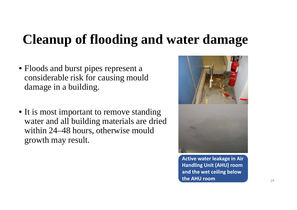#### **Cleanup of flooding and water damage**

- Floods and burst pipes represent a considerable risk for causing mould damage in a building.
- It is most important to remove standing water and all building materials are dried within 24–48 hours, otherwise mould growth may result.



**Active water leakage in Air Handling Unit (AHU) room and the wet ceiling below the AHU room**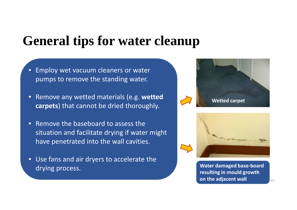#### **General tips for water cleanup**

- $\bullet$  Employ wet vacuum cleaners or water pumps to remove the standing water.
- • Remove any wetted materials (e.g. **wetted carpets**) that cannot be dried thoroughly.
- •• Remove the baseboard to assess the situation and facilitate drying if water might have penetrated into the wall cavities.
- Use fans and air dryers to accelerate the drying process.





**Water damaged base‐board resulting in mould growth on the adjacent wall** <sup>25</sup>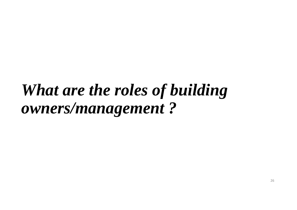# *What are the roles of building owners/management ?*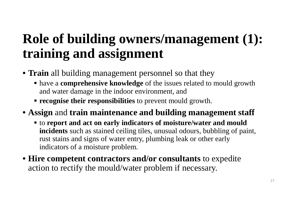#### **Role of building owners/management (1): training and assignment**

- **Train** all building management personnel so that they
	- have a **comprehensive knowledge** of the issues related to mould growth and water damage in the indoor environment, and
	- **recognise their responsibilities** to prevent mould growth.
- **Assign** and **train maintenance and building management staff** 
	- to **report and act on early indicators of moisture/water and mould incidents** such as stained ceiling tiles, unusual odours, bubbling of paint, rust stains and signs of water entry, plumbing leak or other early indicators of a moisture problem.
- **Hire competent contractors and/or consultants** to expedite action to rectify the mould/water problem if necessary.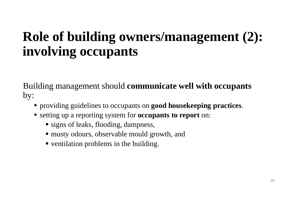#### **Role of building owners/management (2): involving occupants**

Building management should **communicate well with occupants**  by:

- providing guidelines to occupants on **good housekeeping practices**.
- setting up a reporting system for **occupants to report** on:
	- **signs of leaks, flooding, dampness,**
	- musty odours, observable mould growth, and
	- ventilation problems in the building.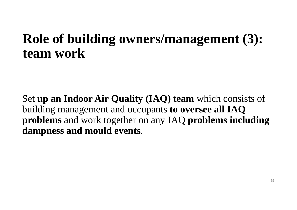#### **Role of building owners/management (3): team work**

Set **up an Indoor Air Quality (IAQ) team** which consists of building management and occupants **to oversee all IAQ problems** and work together on any IAQ **problems including dampness and mould events**.